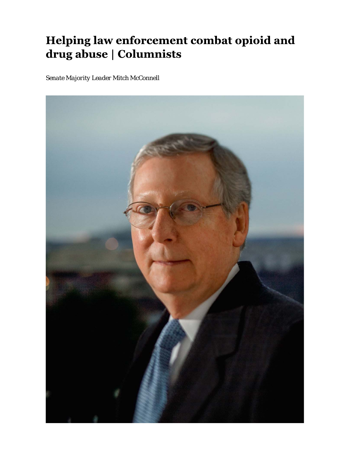## Helping law enforcement combat opioid and drug abuse | Columnists

*Senate Majority Leader Mitch McConnell*

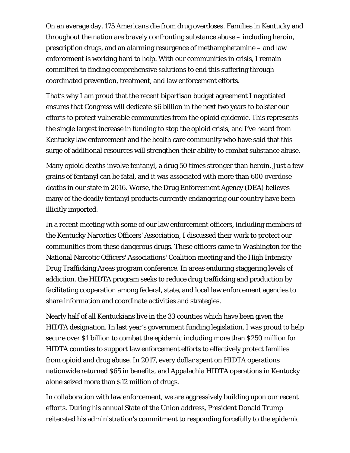On an average day, 175 Americans die from drug overdoses. Families in Kentucky and throughout the nation are bravely confronting substance abuse – including heroin, prescription drugs, and an alarming resurgence of methamphetamine – and law enforcement is working hard to help. With our communities in crisis, I remain committed to finding comprehensive solutions to end this suffering through coordinated prevention, treatment, and law enforcement efforts.

That's why I am proud that the recent bipartisan budget agreement I negotiated ensures that Congress will dedicate \$6 billion in the next two years to bolster our efforts to protect vulnerable communities from the opioid epidemic. This represents the single largest increase in funding to stop the opioid crisis, and I've heard from Kentucky law enforcement and the health care community who have said that this surge of additional resources will strengthen their ability to combat substance abuse.

Many opioid deaths involve fentanyl, a drug 50 times stronger than heroin. Just a few grains of fentanyl can be fatal, and it was associated with more than 600 overdose deaths in our state in 2016. Worse, the Drug Enforcement Agency (DEA) believes many of the deadly fentanyl products currently endangering our country have been illicitly imported.

In a recent meeting with some of our law enforcement officers, including members of the Kentucky Narcotics Officers' Association, I discussed their work to protect our communities from these dangerous drugs. These officers came to Washington for the National Narcotic Officers' Associations' Coalition meeting and the High Intensity Drug Trafficking Areas program conference. In areas enduring staggering levels of addiction, the HIDTA program seeks to reduce drug trafficking and production by facilitating cooperation among federal, state, and local law enforcement agencies to share information and coordinate activities and strategies.

Nearly half of all Kentuckians live in the 33 counties which have been given the HIDTA designation. In last year's government funding legislation, I was proud to help secure over \$1 billion to combat the epidemic including more than \$250 million for HIDTA counties to support law enforcement efforts to effectively protect families from opioid and drug abuse. In 2017, every dollar spent on HIDTA operations nationwide returned \$65 in benefits, and Appalachia HIDTA operations in Kentucky alone seized more than \$12 million of drugs.

In collaboration with law enforcement, we are aggressively building upon our recent efforts. During his annual State of the Union address, President Donald Trump reiterated his administration's commitment to responding forcefully to the epidemic